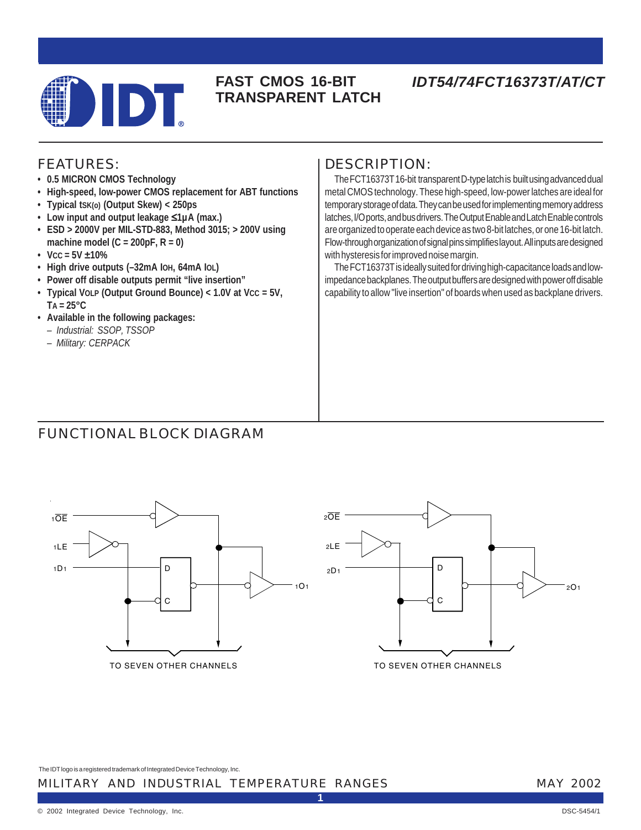

## **FAST CMOS 16-BIT TRANSPARENT LATCH**

# *IDT54/74FCT16373T/AT/CT*

## FEATURES:

- **0.5 MICRON CMOS Technology**
- **High-speed, low-power CMOS replacement for ABT functions**
- **Typical tSK(o) (Output Skew) < 250ps**
- **Low input and output leakage** ≤**1µA (max.)**
- **ESD > 2000V per MIL-STD-883, Method 3015; > 200V using machine model (C = 200pF, R = 0)**
- $\cdot$  Vcc = 5V  $\pm$ 10%
- **High drive outputs (–32mA IOH, 64mA IOL)**
- **Power off disable outputs permit "live insertion"**
- **Typical VOLP (Output Ground Bounce) < 1.0V at VCC = 5V, TA = 25°C**
- **Available in the following packages:**
	- *Industrial: SSOP, TSSOP*
	- *Military: CERPACK*

## DESCRIPTION:

The FCT16373T 16-bit transparent D-type latch is built using advanced dual metal CMOS technology. These high-speed, low-power latches are ideal for temporary storage of data. They can be used for implementing memory address latches, I/O ports, and bus drivers. The Output Enable and Latch Enable controls are organized to operate each device as two 8-bit latches, or one 16-bit latch. Flow-through organization of signal pins simplifies layout. All inputs are designed with hysteresis for improved noise margin.

The FCT16373T is ideally suited for driving high-capacitance loads and lowimpedance backplanes. The output buffers are designed with power off disable capability to allow "live insertion" of boards when used as backplane drivers.

# FUNCTIONAL BLOCK DIAGRAM



TO SEVEN OTHER CHANNELS



TO SEVEN OTHER CHANNELS

The IDT logo is a registered trademark of Integrated Device Technology, Inc.

#### MILITARY AND INDUSTRIAL TEMPERATURE RANGES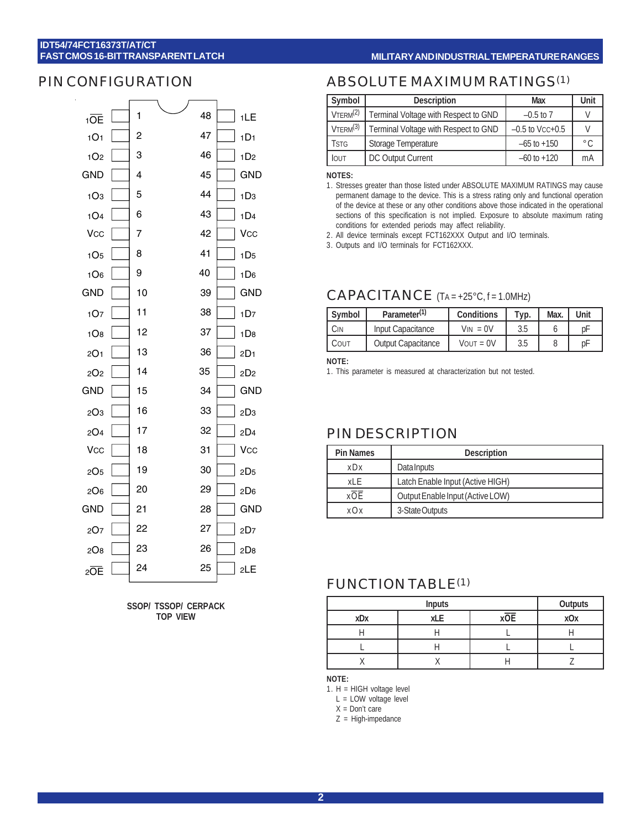#### **MILITARY AND INDUSTRIAL TEMPERATURE RANGES**

#### PIN CONFIGURATION



**SSOP/ TSSOP/ CERPACK TOP VIEW**

### ABSOLUTE MAXIMUM RATINGS(1)

| Symbol               | <b>Description</b>                   | Max               | Unit          |
|----------------------|--------------------------------------|-------------------|---------------|
| VTERM <sup>(2)</sup> | Terminal Voltage with Respect to GND | $-0.5$ to $7$     | V             |
| VTERM <sup>(3)</sup> | Terminal Voltage with Respect to GND | $-0.5$ to Vcc+0.5 | V             |
| <b>TSTG</b>          | Storage Temperature                  | $-65$ to $+150$   | $^{\circ}$ C. |
| <b>IOUT</b>          | DC Output Current                    | $-60$ to $+120$   | mA            |

**NOTES:**

1. Stresses greater than those listed under ABSOLUTE MAXIMUM RATINGS may cause permanent damage to the device. This is a stress rating only and functional operation of the device at these or any other conditions above those indicated in the operational sections of this specification is not implied. Exposure to absolute maximum rating conditions for extended periods may affect reliability.

2. All device terminals except FCT162XXX Output and I/O terminals.

3. Outputs and I/O terminals for FCT162XXX.

#### CAPACITANCE (TA = +25°C, f = 1.0MHz)

| Symbol | Parameter <sup>(1)</sup>  | <b>Conditions</b> | Tур. | Max. | Unit |
|--------|---------------------------|-------------------|------|------|------|
| JN.    | Input Capacitance         | $V_{IN} = 0V$     | 3.5  |      | рF   |
| COUT   | <b>Output Capacitance</b> | $V$ OUT = $0V$    | 3.5  |      | рF   |

**NOTE:**

1. This parameter is measured at characterization but not tested.

#### PIN DESCRIPTION

| <b>Pin Names</b>                         | <b>Description</b> |  |  |  |
|------------------------------------------|--------------------|--|--|--|
| Data Inputs<br>$x$ D $x$                 |                    |  |  |  |
| Latch Enable Input (Active HIGH)<br>xI F |                    |  |  |  |
| xOE<br>Output Enable Input (Active LOW)  |                    |  |  |  |
| 3-State Outputs<br>$X \bigcap X$         |                    |  |  |  |

### FUNCTION TABLE(1)

|     | Outputs |            |
|-----|---------|------------|
| xDx | xOE     | <b>xOx</b> |
|     |         |            |
|     |         |            |
|     |         |            |

**NOTE:**

1. H = HIGH voltage level

L = LOW voltage level

X = Don't care

Z = High-impedance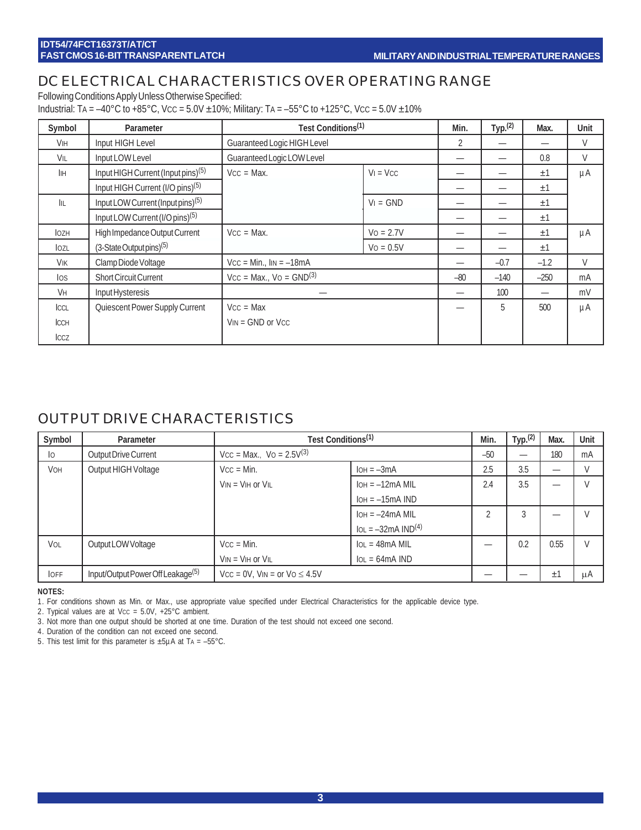# DC ELECTRICAL CHARACTERISTICS OVER OPERATING RANGE

Following Conditions Apply Unless Otherwise Specified:

Industrial: TA = -40°C to +85°C, Vcc = 5.0V  $\pm$ 10%; Military: TA = -55°C to +125°C, Vcc = 5.0V  $\pm$ 10%

| Symbol               | Parameter                                      | Test Conditions <sup>(1)</sup> | Min.        | Type <sub>1</sub> (2) | Max. | Unit   |    |
|----------------------|------------------------------------------------|--------------------------------|-------------|-----------------------|------|--------|----|
| VIH                  | Input HIGH Level                               | Guaranteed Logic HIGH Level    |             | 2                     |      |        | V  |
| VIL                  | Input LOW Level                                | Guaranteed Logic LOW Level     |             |                       |      | 0.8    | V  |
| <b>I</b> IH          | Input HIGH Current (Input pins) <sup>(5)</sup> | $Vcc = Max$ .                  | $V_1 = VCC$ |                       |      | ±1     | μA |
|                      | Input HIGH Current (I/O pins) <sup>(5)</sup>   |                                |             |                       |      | ±1     |    |
| IIL                  | Input LOW Current (Input pins) <sup>(5)</sup>  |                                | $VI = GND$  |                       |      | ±1     |    |
|                      | Input LOW Current (I/O pins) <sup>(5)</sup>    |                                |             |                       |      | ±1     |    |
| <b>l</b> ozh         | High Impedance Output Current                  | $Vcc = Max$ .<br>$V_0 = 2.7V$  |             |                       |      | ±1     | μA |
| lozl                 | $(3-State$ Output pins $)^{(5)}$               |                                | $Vo = 0.5V$ |                       |      | ±1     |    |
| VIK                  | Clamp Diode Voltage                            | $Vcc = Min.$ , $lin = -18mA$   |             |                       |      |        | V  |
| los                  | <b>Short Circuit Current</b>                   | $Vcc = Max$ , $Vo = GND(3)$    |             |                       |      | $-250$ | mA |
| <b>V<sub>H</sub></b> | Input Hysteresis                               |                                |             | 100                   |      | mV     |    |
| ICCL                 | Quiescent Power Supply Current                 | $Vcc = Max$                    |             |                       | 5    | 500    | μA |
| <b>ICCH</b>          |                                                | $V_{IN} = GND$ or $V_{CC}$     |             |                       |      |        |    |
| ICCZ                 |                                                |                                |             |                       |      |        |    |

### OUTPUT DRIVE CHARACTERISTICS

| Symbol          | Parameter                                     |                                     | Test Conditions <sup>(1)</sup>         |                |     |         | Unit          |
|-----------------|-----------------------------------------------|-------------------------------------|----------------------------------------|----------------|-----|---------|---------------|
| $\overline{10}$ | Output Drive Current                          | $Vcc = Max.$ , $Vo = 2.5V^{(3)}$    |                                        |                |     |         | mA            |
| <b>VOH</b>      | Output HIGH Voltage                           | $Vcc = Min$ .                       | $IOH = -3mA$                           | 2.5            | 3.5 |         | $\vee$        |
|                 |                                               | $V_{IN} = V_{IH}$ or $V_{IL}$       | $IOH = -12mA MIL$                      | 2.4            | 3.5 |         | $\mathcal{U}$ |
|                 |                                               |                                     | $IOH = -15mA IND$                      |                |     |         |               |
|                 |                                               |                                     | $IOH = -24mA MIL$                      | $\overline{2}$ | 3   |         | $\vee$        |
|                 |                                               |                                     | $IOL = -32mA IND(4)$                   |                |     |         |               |
| VOL             | Output LOW Voltage                            | $Vcc = Min$ .                       | $IOL = 48mA MIL$                       |                | 0.2 | 0.55    | $\vee$        |
|                 |                                               | $V_{IN} = V_{IH}$ or $V_{IL}$       | $\text{IoL} = 64 \text{mA} \text{IND}$ |                |     |         |               |
| <b>OFF</b>      | Input/Output Power Off Leakage <sup>(5)</sup> | $Vcc = 0V$ , $VIN = or VO \le 4.5V$ |                                        |                |     | $\pm 1$ | μA            |

#### **NOTES:**

1. For conditions shown as Min. or Max., use appropriate value specified under Electrical Characteristics for the applicable device type.

2. Typical values are at Vcc =  $5.0V$ ,  $+25^{\circ}$ C ambient.

3. Not more than one output should be shorted at one time. Duration of the test should not exceed one second.

4. Duration of the condition can not exceed one second.

5. This test limit for this parameter is  $\pm 5\mu A$  at TA = -55°C.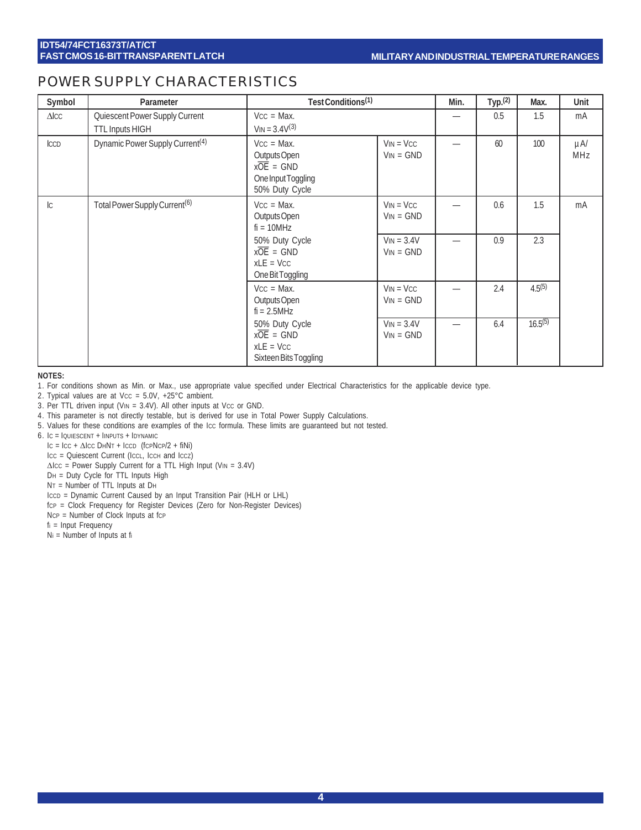## POWER SUPPLY CHARACTERISTICS

| Symbol         | Parameter                                                | Test Conditions <sup>(1)</sup>                                                                  | Min.                        | Typ. <sup>(2)</sup> | Max. | Unit         |                 |
|----------------|----------------------------------------------------------|-------------------------------------------------------------------------------------------------|-----------------------------|---------------------|------|--------------|-----------------|
| $\Delta$ ICC   | Quiescent Power Supply Current<br><b>TTL Inputs HIGH</b> | $Vcc = Max$ .<br>$V_{IN} = 3.4V^{(3)}$                                                          |                             |                     | 0.5  | 1.5          | mA              |
| <b>ICCD</b>    | Dynamic Power Supply Current <sup>(4)</sup>              | $Vcc = Max$ .<br>Outputs Open<br>$x\overline{OE}$ = GND<br>One Input Toggling<br>50% Duty Cycle | $VIN = VCC$<br>$VIN = GND$  |                     | 60   | 100          | $\mu$ A/<br>MHz |
| $\overline{C}$ | Total Power Supply Current <sup>(6)</sup>                | $Vcc = Max$ .<br>Outputs Open<br>$fi = 10 MHz$                                                  | $VIN = VCC$<br>$VIN = GND$  |                     | 0.6  | 1.5          | mA              |
|                |                                                          | 50% Duty Cycle<br>$x\overline{OE}$ = GND<br>$xLE = VCC$<br>One Bit Toggling                     | $VIN = 3.4V$<br>$VIN = GND$ |                     | 0.9  | 2.3          |                 |
|                |                                                          | $Vcc = Max$ .<br>Outputs Open<br>$fi = 2.5MHz$                                                  | $VIN = VCC$<br>$VIN = GND$  |                     | 2.4  | $4.5^{(5)}$  |                 |
|                |                                                          | 50% Duty Cycle<br>$x\overline{OE}$ = GND<br>$xLE = VCC$<br>Sixteen Bits Toggling                | $VIN = 3.4V$<br>$VIN = GND$ |                     | 6.4  | $16.5^{(5)}$ |                 |

#### **NOTES:**

1. For conditions shown as Min. or Max., use appropriate value specified under Electrical Characteristics for the applicable device type.

2. Typical values are at Vcc =  $5.0V$ , +25°C ambient.

3. Per TTL driven input (VIN =  $3.4V$ ). All other inputs at Vcc or GND.

4. This parameter is not directly testable, but is derived for use in Total Power Supply Calculations.

5. Values for these conditions are examples of the ICC formula. These limits are guaranteed but not tested.

6. IC = IQUIESCENT + IINPUTS + IDYNAMIC

 $IC = ICC + \Delta ICC$  DHNT + ICCD (fCPNCP/2 + fiNi)

Icc = Quiescent Current (IccL, IccH and Iccz)

- ∆ICC = Power Supply Current for a TTL High Input (VIN = 3.4V)
- DH = Duty Cycle for TTL Inputs High
- NT = Number of TTL Inputs at DH
- ICCD = Dynamic Current Caused by an Input Transition Pair (HLH or LHL)
- fCP = Clock Frequency for Register Devices (Zero for Non-Register Devices)
- NcP = Number of Clock Inputs at fcP

fi = Input Frequency

Ni = Number of Inputs at fi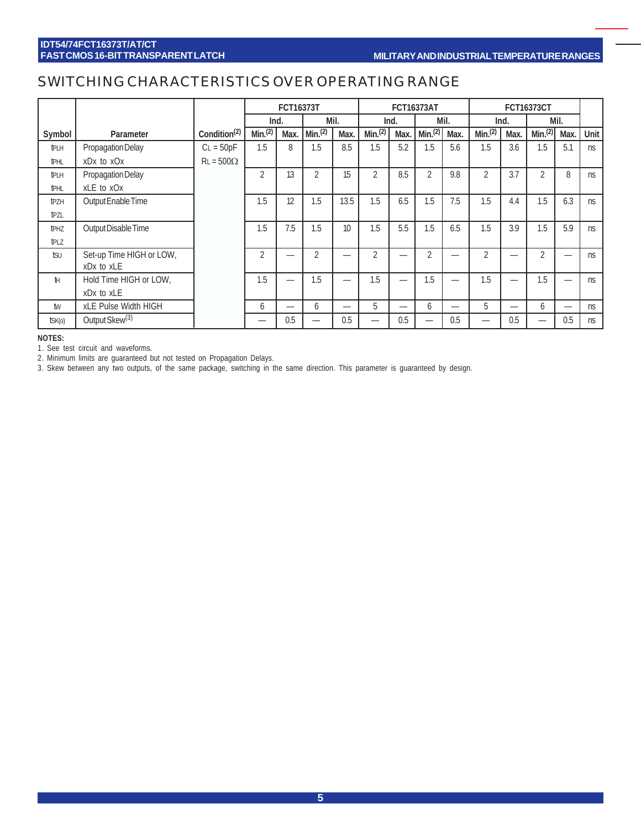# SWITCHING CHARACTERISTICS OVER OPERATING RANGE

|                  |                            |                          | FCT16373T      |      | <b>FCT16373AT</b>  |                  |                | <b>FCT16373CT</b>        |                    |      |                    |      |                    |      |      |
|------------------|----------------------------|--------------------------|----------------|------|--------------------|------------------|----------------|--------------------------|--------------------|------|--------------------|------|--------------------|------|------|
|                  |                            |                          | Ind.           |      |                    | Mil.             |                | Ind.                     |                    | Mil. |                    | Ind. |                    | Mil. |      |
| Symbol           | Parameter                  | Condition <sup>(2)</sup> | Min(2)         | Max. | Min <sup>(2)</sup> | Max.             | Min(2)         | Max.                     | Min <sup>(2)</sup> | Max. | Min <sup>(2)</sup> | Max. | Min <sup>(2)</sup> | Max. | Unit |
| <b>t</b> PLH     | Propagation Delay          | $CL = 50pF$              | 1.5            | 8    | 1.5                | 8.5              | 1.5            | 5.2                      | 1.5                | 5.6  | 1.5                | 3.6  | 1.5                | 5.1  | ns   |
| <b>tPHL</b>      | xDx to xOx                 | $RL = 500\Omega$         |                |      |                    |                  |                |                          |                    |      |                    |      |                    |      |      |
| tрlн             | Propagation Delay          |                          | $\overline{2}$ | 13   | $\overline{2}$     | 15               | $\overline{2}$ | 8.5                      | $\overline{2}$     | 9.8  | $\overline{2}$     | 3.7  | $\overline{2}$     | 8    | ns   |
| <b>tPHL</b>      | xLE to xOx                 |                          |                |      |                    |                  |                |                          |                    |      |                    |      |                    |      |      |
| tpzh             | Output Enable Time         |                          | 1.5            | 12   | 1.5                | 13.5             | 1.5            | 6.5                      | 1.5                | 7.5  | 1.5                | 4.4  | 1.5                | 6.3  | ns   |
| tpzl             |                            |                          |                |      |                    |                  |                |                          |                    |      |                    |      |                    |      |      |
| t <sub>PHZ</sub> | Output Disable Time        |                          | 1.5            | 7.5  | 1.5                | 10 <sup>10</sup> | 1.5            | 5.5                      | 1.5                | 6.5  | 1.5                | 3.9  | 1.5                | 5.9  | ns   |
| tplz             |                            |                          |                |      |                    |                  |                |                          |                    |      |                    |      |                    |      |      |
| tsu              | Set-up Time HIGH or LOW,   |                          | $\overline{2}$ |      | $\mathfrak{D}$     |                  | $\mathfrak{D}$ |                          | $\overline{2}$     |      | $\overline{2}$     |      | $\overline{2}$     |      | ns   |
|                  | xDx to xLE                 |                          |                |      |                    |                  |                |                          |                    |      |                    |      |                    |      |      |
| Ħ                | Hold Time HIGH or LOW,     |                          | 1.5            |      | 1.5                |                  | 1.5            | $\overline{\phantom{0}}$ | 1.5                |      | 1.5                |      | 1.5                |      | ns   |
|                  | xDx to xLE                 |                          |                |      |                    |                  |                |                          |                    |      |                    |      |                    |      |      |
| tw               | xLE Pulse Width HIGH       |                          | 6              |      | 6                  |                  | 5              | —                        | 6                  |      | 5                  |      | 6                  | –    | ns   |
| $t$ SK $(o)$     | Output Skew <sup>(3)</sup> |                          |                | 0.5  |                    | 0.5              | _              | 0.5                      | –                  | 0.5  | –                  | 0.5  |                    | 0.5  | ns   |

**NOTES:**

1. See test circuit and waveforms.

2. Minimum limits are guaranteed but not tested on Propagation Delays.

3. Skew between any two outputs, of the same package, switching in the same direction. This parameter is guaranteed by design.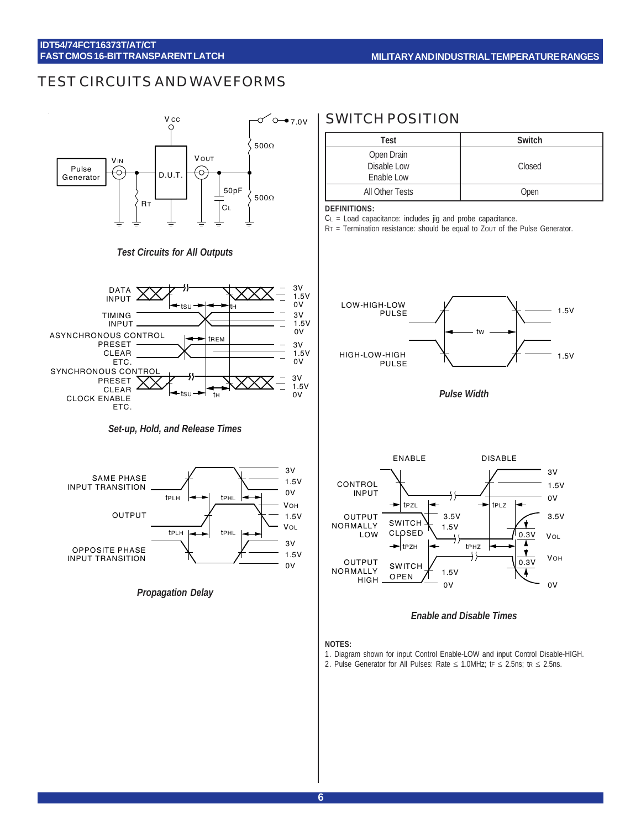## TEST CIRCUITS AND WAVEFORMS



#### *Test Circuits for All Outputs*



*Set-up, Hold, and Release Times*



*Propagation Delay*

## SWITCH POSITION

| <b>Test</b>                             | Switch |
|-----------------------------------------|--------|
| Open Drain<br>Disable Low<br>Enable Low | Closed |
| All Other Tests                         | Open   |

#### **DEFINITIONS:**

CL = Load capacitance: includes jig and probe capacitance.

RT = Termination resistance: should be equal to ZOUT of the Pulse Generator.



*Pulse Width*



#### *Enable and Disable Times*

#### **NOTES:**

- 1. Diagram shown for input Control Enable-LOW and input Control Disable-HIGH.
- 2. Pulse Generator for All Pulses: Rate  $\leq$  1.0MHz; tr  $\leq$  2.5ns; tr  $\leq$  2.5ns.